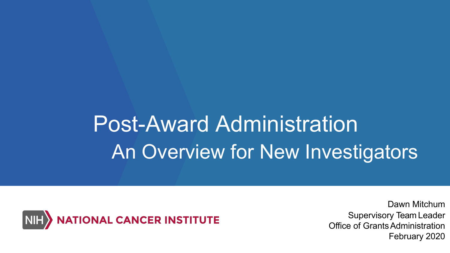## Post-Award Administration An Overview for New Investigators



Dawn Mitchum Supervisory Team Leader Office of Grants Administration February 2020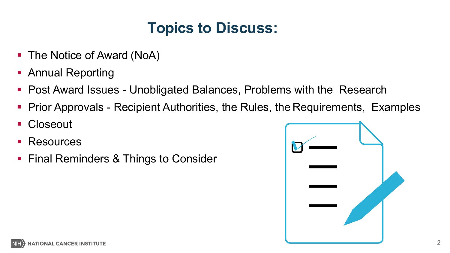#### **Topics to Discuss:**

- The Notice of Award (NoA)
- **Annual Reporting**
- Post Award Issues Unobligated Balances, Problems with the Research
- Prior Approvals Recipient Authorities, the Rules, the Requirements, Examples
- Closeout
- **Resources**
- **Final Reminders & Things to Consider**

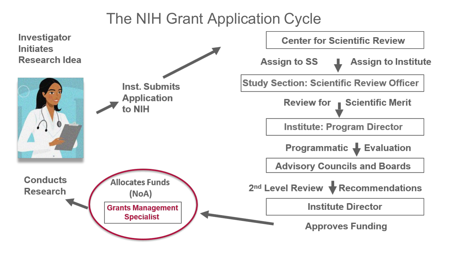#### The NIH Grant Application Cycle

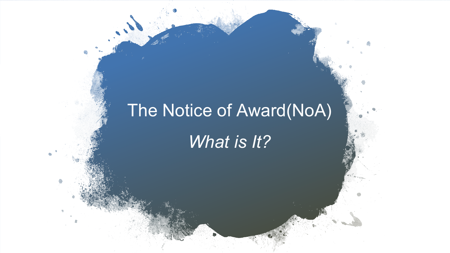### The Notice of Award(NoA)

*What is It?*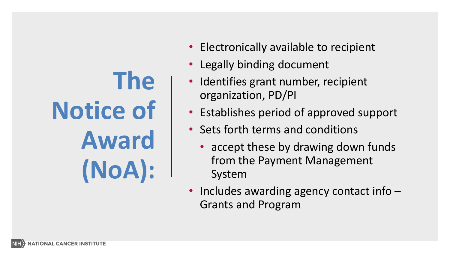# **The Notice of Award (NoA):**

- Electronically available to recipient
- Legally binding document
- Identifies grant number, recipient organization, PD/PI
- Establishes period of approved support
- Sets forth terms and conditions
	- accept these by drawing down funds from the Payment Management System
- Includes awarding agency contact info Grants and Program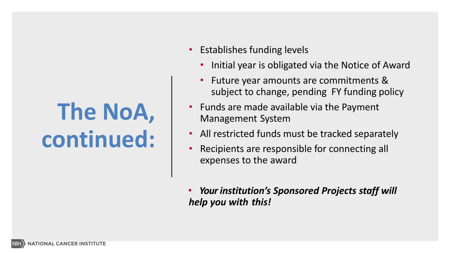## **The NoA, continued:**

- Establishes funding levels
	- Initial year is obligated via the Notice of Award
	- Future year amounts are commitments & subject to change, pending FY funding policy
- Funds are made available via the Payment Management System
- All restricted funds must be tracked separately
- Recipients are responsible for connecting all expenses to the award
- *Your institution's Sponsored Projects staff will help you with this!*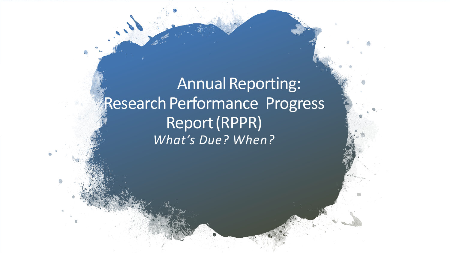Annual Reporting: Research Performance Progress Report(RPPR) *What's Due? When?*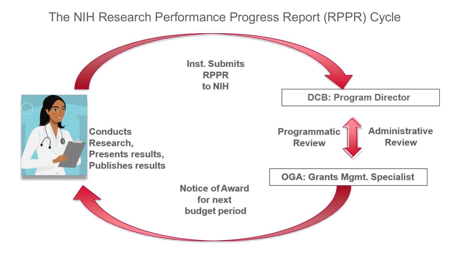#### The NIH Research Performance Progress Report (RPPR) Cycle

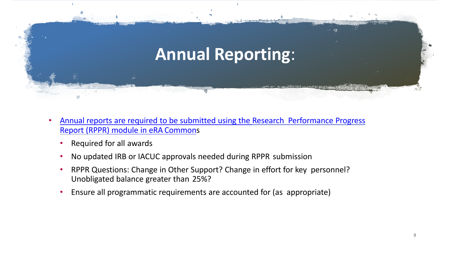

- [Annual reports are required to be submitted using the Research Performance Progress](http://grants.nih.gov/grants/rppr)  Report (RPPR) module in eRA Commons
	- Required for all awards
	- No updated IRB or IACUC approvals needed during RPPR submission
	- RPPR Questions: Change in Other Support? Change in effort for key personnel? Unobligated balance greater than 25%?
	- Ensure all programmatic requirements are accounted for (as appropriate)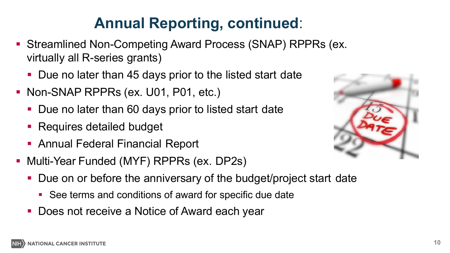#### **Annual Reporting, continued**:

- Streamlined Non-Competing Award Process (SNAP) RPPRs (ex. virtually all R-series grants)
	- Due no later than 45 days prior to the listed start date
- Non-SNAP RPPRs (ex. U01, P01, etc.)
	- Due no later than 60 days prior to listed start date
	- Requires detailed budget
	- Annual Federal Financial Report
- Multi-Year Funded (MYF) RPPRs (ex. DP2s)
	- Due on or before the anniversary of the budget/project start date
		- See terms and conditions of award for specific due date
	- **Does not receive a Notice of Award each year**

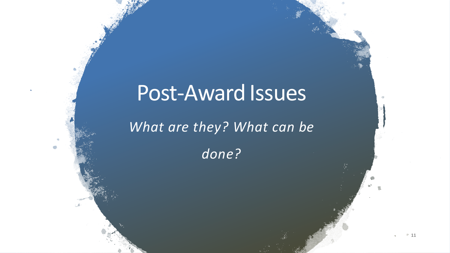### Post-Award Issues

*What are they? What can be*

*done?*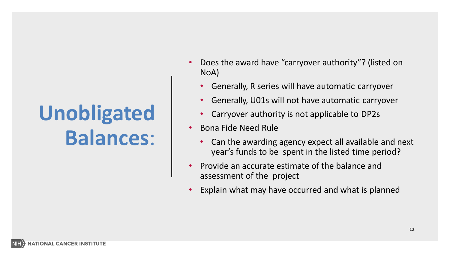## **Unobligated Balances**:

- Does the award have "carryover authority"? (listed on NoA)
	- Generally, R series will have automatic carryover
	- Generally, U01s will not have automatic carryover
	- Carryover authority is not applicable to DP2s
- Bona Fide Need Rule
	- Can the awarding agency expect all available and next year's funds to be spent in the listed time period?
- Provide an accurate estimate of the balance and assessment of the project
- Explain what may have occurred and what is planned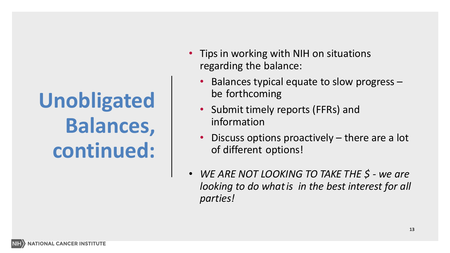## **Unobligated Balances, continued:**

- Tips in working with NIH on situations regarding the balance:
	- Balances typical equate to slow progress be forthcoming
	- Submit timely reports (FFRs) and information
	- Discuss options proactively there are a lot of different options!
- *WE ARE NOT LOOKING TO TAKE THE \$ - we are looking to do whatis in the best interest for all parties!*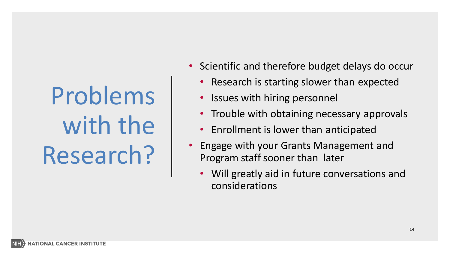# Problems with the Research?

- Scientific and therefore budget delays do occur
	- Research is starting slower than expected
	- Issues with hiring personnel
	- Trouble with obtaining necessary approvals
	- Enrollment is lower than anticipated
- Engage with your Grants Management and Program staff sooner than later
	- Will greatly aid in future conversations and considerations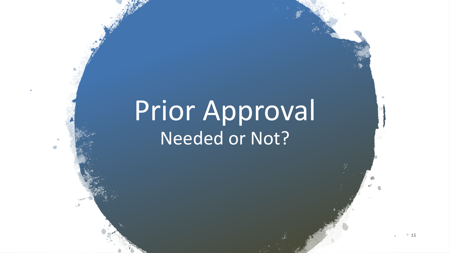## Prior Approval Needed or Not?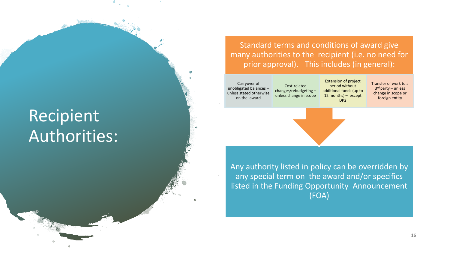#### Recipient Authorities:

Standard terms and conditions of award give many authorities to the recipient (i.e. no need for prior approval). This includes (in general):

DP2

Carryover of unobligated balances – unless stated otherwise on the award

Cost-related changes/rebudgeting – unless change in scope Extension of project period without additional funds (up to 12 months) – except

Transfer of work to a 3rd party – unless change in scope or foreign entity

Any authority listed in policy can be overridden by any special term on the award and/or specifics listed in the Funding Opportunity Announcement (FOA)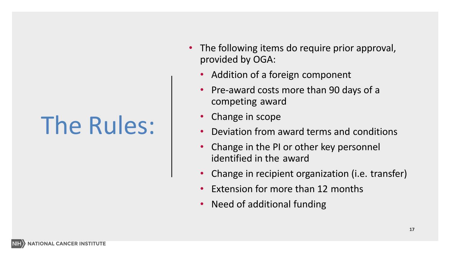# The Rules:

- The following items do require prior approval, provided by OGA:
	- Addition of a foreign component
	- Pre-award costs more than 90 days of a competing award
	- Change in scope
	- Deviation from award terms and conditions
	- Change in the PI or other key personnel identified in the award
	- Change in recipient organization (i.e. transfer)
	- Extension for more than 12 months
	- Need of additional funding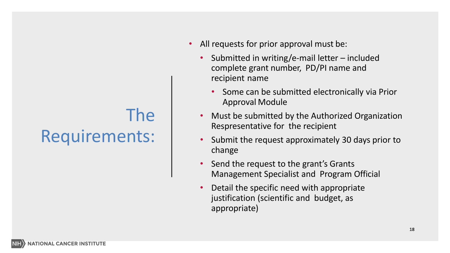### The Requirements:

- All requests for prior approval must be:
	- Submitted in writing/e-mail letter included complete grant number, PD/PI name and recipient name
		- Some can be submitted electronically via Prior Approval Module
	- Must be submitted by the Authorized Organization Respresentative for the recipient
	- Submit the request approximately 30 days prior to change
	- Send the request to the grant's Grants Management Specialist and Program Official
	- Detail the specific need with appropriate justification (scientific and budget, as appropriate)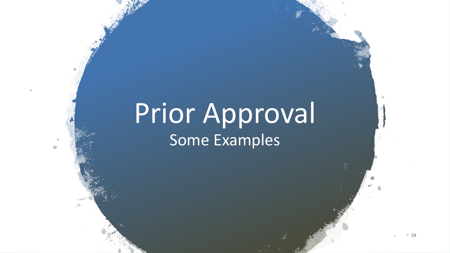## Prior Approval Some Examples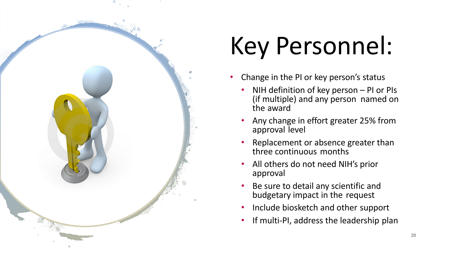

# Key Personnel:

- Change in the PI or key person's status
	- NIH definition of key person PI or PIs (if multiple) and any person named on the award
	- Any change in effort greater 25% from approval level
	- Replacement or absence greater than three continuous months
	- All others do not need NIH's prior approval
	- Be sure to detail any scientific and budgetary impact in the request
	- Include biosketch and other support
	- If multi-PI, address the leadership plan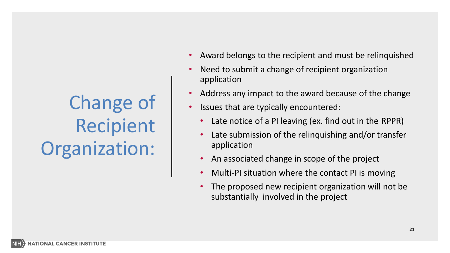### Change of Recipient Organization:

- Award belongs to the recipient and must be relinquished
- Need to submit a change of recipient organization application
- Address any impact to the award because of the change
- Issues that are typically encountered:
	- Late notice of a PI leaving (ex. find out in the RPPR)
	- Late submission of the relinquishing and/or transfer application
	- An associated change in scope of the project
	- Multi-PI situation where the contact PI is moving
	- The proposed new recipient organization will not be substantially involved in the project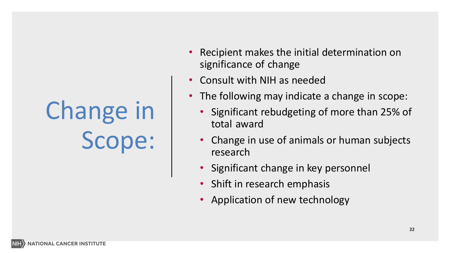# Change in Scope:

- Recipient makes the initial determination on significance of change
- Consult with NIH as needed
- The following may indicate a change in scope:
	- Significant rebudgeting of more than 25% of total award
	- Change in use of animals or human subjects research
	- Significant change in key personnel
	- Shift in research emphasis
	- Application of new technology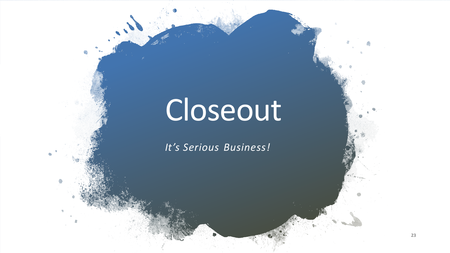# Closeout

*It's Serious Business!*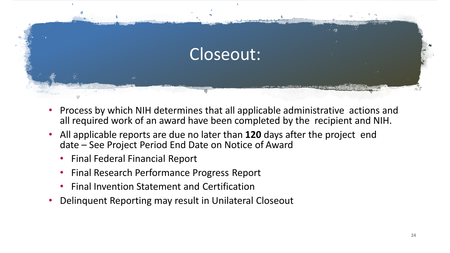

- Process by which NIH determines that all applicable administrative actions and all required work of an award have been completed by the recipient and NIH.
- All applicable reports are due no later than **120** days after the project end date – See Project Period End Date on Notice of Award
	- Final Federal Financial Report
	- Final Research Performance Progress Report
	- Final Invention Statement and Certification
- Delinquent Reporting may result in Unilateral Closeout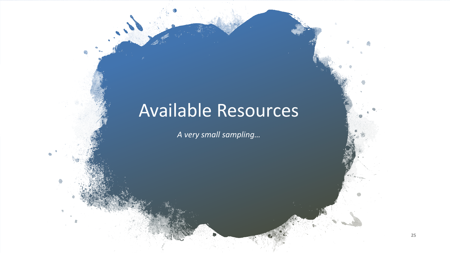#### Available Resources

*A very small sampling…*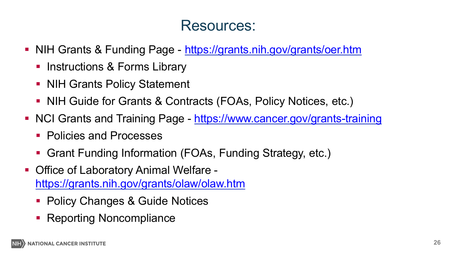#### Resources:

- NIH Grants & Funding Page <https://grants.nih.gov/grants/oer.htm>
	- Instructions & Forms Library
	- NIH Grants Policy Statement
	- NIH Guide for Grants & Contracts (FOAs, Policy Notices, etc.)
- NCI Grants and Training Page <https://www.cancer.gov/grants-training>
	- **Policies and Processes**
	- Grant Funding Information (FOAs, Funding Strategy, etc.)
- Office of Laboratory Animal Welfare <https://grants.nih.gov/grants/olaw/olaw.htm>
	- Policy Changes & Guide Notices
	- Reporting Noncompliance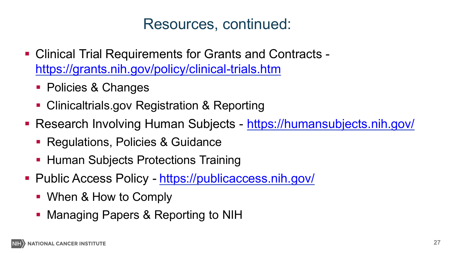#### Resources, continued:

- Clinical Trial Requirements for Grants and Contracts <https://grants.nih.gov/policy/clinical-trials.htm>
	- **Policies & Changes**
	- **Clinicaltrials.gov Registration & Reporting**
- Research Involving Human Subjects <https://humansubjects.nih.gov/>
	- **Regulations, Policies & Guidance**
	- **Human Subjects Protections Training**
- Public Access Policy <https://publicaccess.nih.gov/>
	- When & How to Comply
	- **Managing Papers & Reporting to NIH**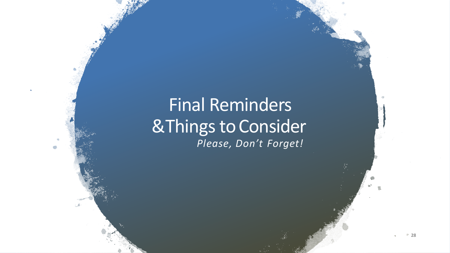#### Final Reminders &Things toConsider *Please, Don't Forget!*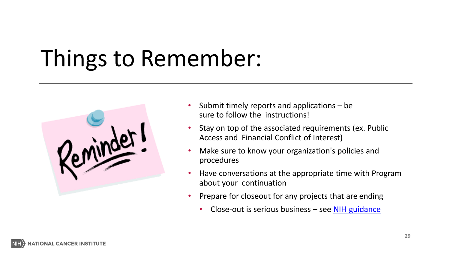## Things to Remember:



- Submit timely reports and applications be sure to follow the instructions!
- Stay on top of the associated requirements (ex. Public Access and Financial Conflict of Interest)
- Make sure to know your organization's policies and procedures
- Have conversations at the appropriate time with Program about your continuation
- Prepare for closeout for any projects that are ending
	- Close-out is serious business see NIH [guidance](https://grants.nih.gov/grants/closeout/index.htm)